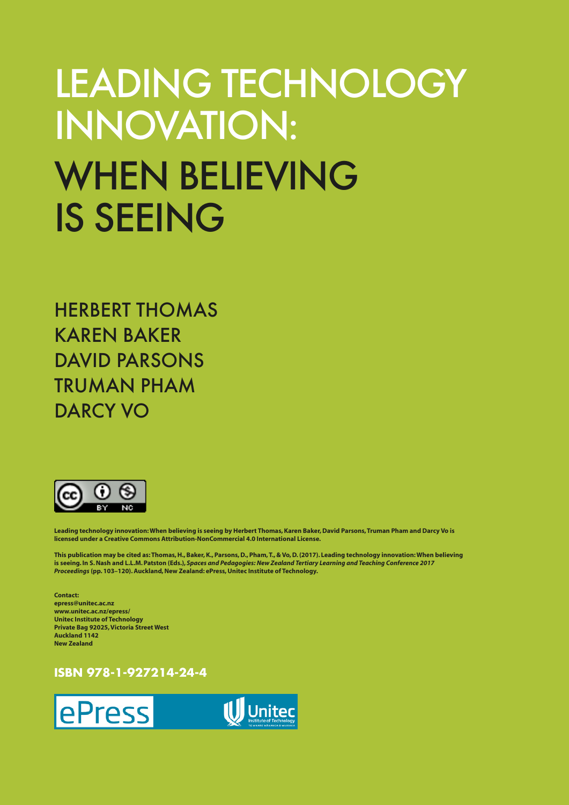# LEADING TECHNOLOGY INNOVATION: WHEN BELIEVING IS SEEING

HERBERT THOMAS KAREN BAKER DAVID PARSONS TRUMAN PHAM DARCY VO



**Leading technology innovation: When believing is seeing by Herbert Thomas, Karen Baker, David Parsons, Truman Pham and Darcy Vo is licensed under a Creative Commons Attribution-NonCommercial 4.0 International License.**

**This publication may be cited as: Thomas, H., Baker, K., Parsons, D., Pham, T., & Vo, D. (2017). Leading technology innovation: When believing is seeing. In S. Nash and L.L.M. Patston (Eds.),** *Spaces and Pedagogies: New Zealand Tertiary Learning and Teaching Conference 2017 Proceedings* **(pp. 103–120). Auckland, New Zealand: ePress, Unitec Institute of Technology.**

**Contact: epress@unitec.ac.nz www.unitec.ac.nz/epress/ Unitec Institute of Technology Private Bag 92025, Victoria Street West Auckland 1142 New Zealand**

## **ISBN 978-1-927214-24-4**



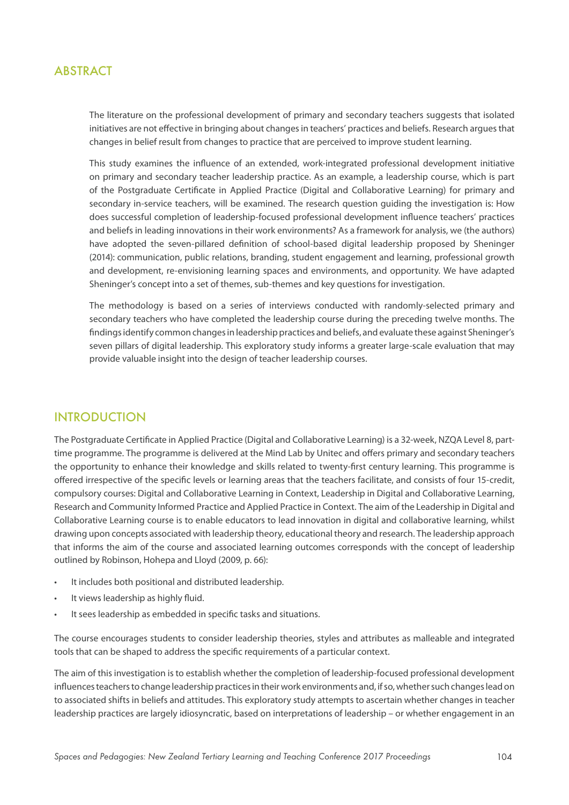## **ABSTRACT**

The literature on the professional development of primary and secondary teachers suggests that isolated initiatives are not effective in bringing about changes in teachers' practices and beliefs. Research argues that changes in belief result from changes to practice that are perceived to improve student learning.

This study examines the influence of an extended, work-integrated professional development initiative on primary and secondary teacher leadership practice. As an example, a leadership course, which is part of the Postgraduate Certificate in Applied Practice (Digital and Collaborative Learning) for primary and secondary in-service teachers, will be examined. The research question guiding the investigation is: How does successful completion of leadership-focused professional development influence teachers' practices and beliefs in leading innovations in their work environments? As a framework for analysis, we (the authors) have adopted the seven-pillared definition of school-based digital leadership proposed by Sheninger (2014): communication, public relations, branding, student engagement and learning, professional growth and development, re-envisioning learning spaces and environments, and opportunity. We have adapted Sheninger's concept into a set of themes, sub-themes and key questions for investigation.

The methodology is based on a series of interviews conducted with randomly-selected primary and secondary teachers who have completed the leadership course during the preceding twelve months. The findings identify common changes in leadership practices and beliefs, and evaluate these against Sheninger's seven pillars of digital leadership. This exploratory study informs a greater large-scale evaluation that may provide valuable insight into the design of teacher leadership courses.

## INTRODUCTION

The Postgraduate Certificate in Applied Practice (Digital and Collaborative Learning) is a 32-week, NZQA Level 8, parttime programme. The programme is delivered at the Mind Lab by Unitec and offers primary and secondary teachers the opportunity to enhance their knowledge and skills related to twenty-first century learning. This programme is offered irrespective of the specific levels or learning areas that the teachers facilitate, and consists of four 15-credit, compulsory courses: Digital and Collaborative Learning in Context, Leadership in Digital and Collaborative Learning, Research and Community Informed Practice and Applied Practice in Context. The aim of the Leadership in Digital and Collaborative Learning course is to enable educators to lead innovation in digital and collaborative learning, whilst drawing upon concepts associated with leadership theory, educational theory and research. The leadership approach that informs the aim of the course and associated learning outcomes corresponds with the concept of leadership outlined by Robinson, Hohepa and Lloyd (2009, p. 66):

- It includes both positional and distributed leadership.
- It views leadership as highly fluid.
- It sees leadership as embedded in specific tasks and situations.

The course encourages students to consider leadership theories, styles and attributes as malleable and integrated tools that can be shaped to address the specific requirements of a particular context.

The aim of this investigation is to establish whether the completion of leadership-focused professional development influences teachers to change leadership practices in their work environments and, if so, whether such changes lead on to associated shifts in beliefs and attitudes. This exploratory study attempts to ascertain whether changes in teacher leadership practices are largely idiosyncratic, based on interpretations of leadership – or whether engagement in an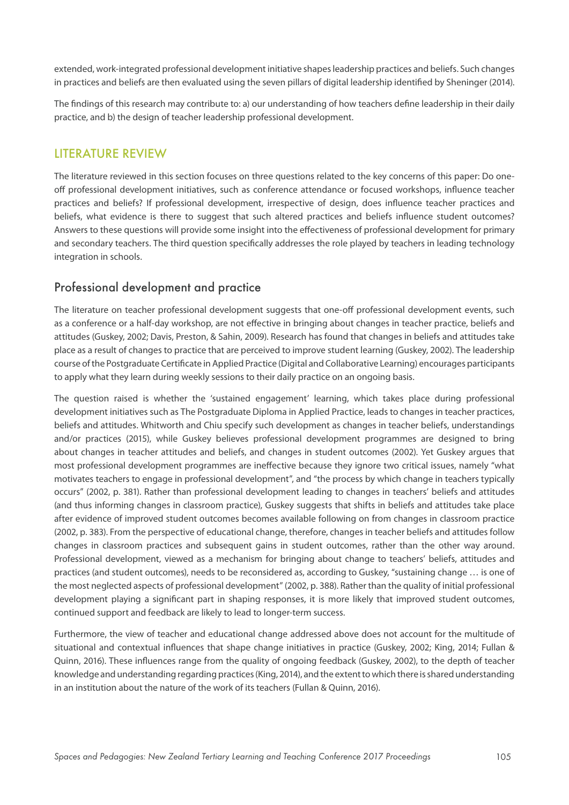extended, work-integrated professional development initiative shapes leadership practices and beliefs. Such changes in practices and beliefs are then evaluated using the seven pillars of digital leadership identified by Sheninger (2014).

The findings of this research may contribute to: a) our understanding of how teachers define leadership in their daily practice, and b) the design of teacher leadership professional development.

## LITERATURE REVIEW

The literature reviewed in this section focuses on three questions related to the key concerns of this paper: Do oneoff professional development initiatives, such as conference attendance or focused workshops, influence teacher practices and beliefs? If professional development, irrespective of design, does influence teacher practices and beliefs, what evidence is there to suggest that such altered practices and beliefs influence student outcomes? Answers to these questions will provide some insight into the effectiveness of professional development for primary and secondary teachers. The third question specifically addresses the role played by teachers in leading technology integration in schools.

## Professional development and practice

The literature on teacher professional development suggests that one-off professional development events, such as a conference or a half-day workshop, are not effective in bringing about changes in teacher practice, beliefs and attitudes (Guskey, 2002; Davis, Preston, & Sahin, 2009). Research has found that changes in beliefs and attitudes take place as a result of changes to practice that are perceived to improve student learning (Guskey, 2002). The leadership course of the Postgraduate Certificate in Applied Practice (Digital and Collaborative Learning) encourages participants to apply what they learn during weekly sessions to their daily practice on an ongoing basis.

The question raised is whether the 'sustained engagement' learning, which takes place during professional development initiatives such as The Postgraduate Diploma in Applied Practice, leads to changes in teacher practices, beliefs and attitudes. Whitworth and Chiu specify such development as changes in teacher beliefs, understandings and/or practices (2015), while Guskey believes professional development programmes are designed to bring about changes in teacher attitudes and beliefs, and changes in student outcomes (2002). Yet Guskey argues that most professional development programmes are ineffective because they ignore two critical issues, namely "what motivates teachers to engage in professional development", and "the process by which change in teachers typically occurs" (2002, p. 381). Rather than professional development leading to changes in teachers' beliefs and attitudes (and thus informing changes in classroom practice), Guskey suggests that shifts in beliefs and attitudes take place after evidence of improved student outcomes becomes available following on from changes in classroom practice (2002, p. 383). From the perspective of educational change, therefore, changes in teacher beliefs and attitudes follow changes in classroom practices and subsequent gains in student outcomes, rather than the other way around. Professional development, viewed as a mechanism for bringing about change to teachers' beliefs, attitudes and practices (and student outcomes), needs to be reconsidered as, according to Guskey, "sustaining change … is one of the most neglected aspects of professional development" (2002, p. 388). Rather than the quality of initial professional development playing a significant part in shaping responses, it is more likely that improved student outcomes, continued support and feedback are likely to lead to longer-term success.

Furthermore, the view of teacher and educational change addressed above does not account for the multitude of situational and contextual influences that shape change initiatives in practice (Guskey, 2002; King, 2014; Fullan & Quinn, 2016). These influences range from the quality of ongoing feedback (Guskey, 2002), to the depth of teacher knowledge and understanding regarding practices (King, 2014), and the extent to which there is shared understanding in an institution about the nature of the work of its teachers (Fullan & Quinn, 2016).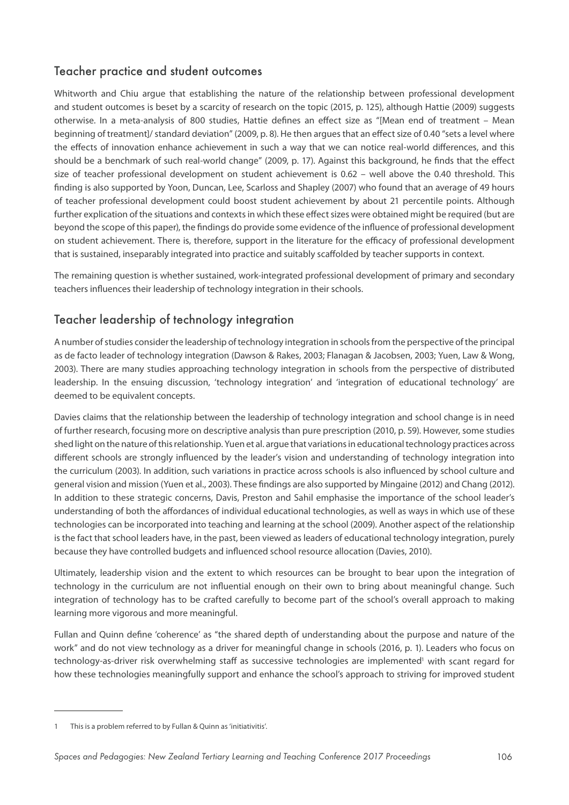# Teacher practice and student outcomes

Whitworth and Chiu argue that establishing the nature of the relationship between professional development and student outcomes is beset by a scarcity of research on the topic (2015, p. 125), although Hattie (2009) suggests otherwise. In a meta-analysis of 800 studies, Hattie defines an effect size as "[Mean end of treatment – Mean beginning of treatment]/ standard deviation" (2009, p. 8). He then argues that an effect size of 0.40 "sets a level where the effects of innovation enhance achievement in such a way that we can notice real-world differences, and this should be a benchmark of such real-world change" (2009, p. 17). Against this background, he finds that the effect size of teacher professional development on student achievement is 0.62 – well above the 0.40 threshold. This finding is also supported by Yoon, Duncan, Lee, Scarloss and Shapley (2007) who found that an average of 49 hours of teacher professional development could boost student achievement by about 21 percentile points. Although further explication of the situations and contexts in which these effect sizes were obtained might be required (but are beyond the scope of this paper), the findings do provide some evidence of the influence of professional development on student achievement. There is, therefore, support in the literature for the efficacy of professional development that is sustained, inseparably integrated into practice and suitably scaffolded by teacher supports in context.

The remaining question is whether sustained, work-integrated professional development of primary and secondary teachers influences their leadership of technology integration in their schools.

# Teacher leadership of technology integration

A number of studies consider the leadership of technology integration in schools from the perspective of the principal as de facto leader of technology integration (Dawson & Rakes, 2003; Flanagan & Jacobsen, 2003; Yuen, Law & Wong, 2003). There are many studies approaching technology integration in schools from the perspective of distributed leadership. In the ensuing discussion, 'technology integration' and 'integration of educational technology' are deemed to be equivalent concepts.

Davies claims that the relationship between the leadership of technology integration and school change is in need of further research, focusing more on descriptive analysis than pure prescription (2010, p. 59). However, some studies shed light on the nature of this relationship. Yuen et al. argue that variations in educational technology practices across different schools are strongly influenced by the leader's vision and understanding of technology integration into the curriculum (2003). In addition, such variations in practice across schools is also influenced by school culture and general vision and mission (Yuen et al., 2003). These findings are also supported by Mingaine (2012) and Chang (2012). In addition to these strategic concerns, Davis, Preston and Sahil emphasise the importance of the school leader's understanding of both the affordances of individual educational technologies, as well as ways in which use of these technologies can be incorporated into teaching and learning at the school (2009). Another aspect of the relationship is the fact that school leaders have, in the past, been viewed as leaders of educational technology integration, purely because they have controlled budgets and influenced school resource allocation (Davies, 2010).

Ultimately, leadership vision and the extent to which resources can be brought to bear upon the integration of technology in the curriculum are not influential enough on their own to bring about meaningful change. Such integration of technology has to be crafted carefully to become part of the school's overall approach to making learning more vigorous and more meaningful.

Fullan and Quinn define 'coherence' as "the shared depth of understanding about the purpose and nature of the work" and do not view technology as a driver for meaningful change in schools (2016, p. 1). Leaders who focus on technology-as-driver risk overwhelming staff as successive technologies are implemented<sup>1</sup> with scant regard for how these technologies meaningfully support and enhance the school's approach to striving for improved student

<sup>1</sup> This is a problem referred to by Fullan & Quinn as 'initiativitis'.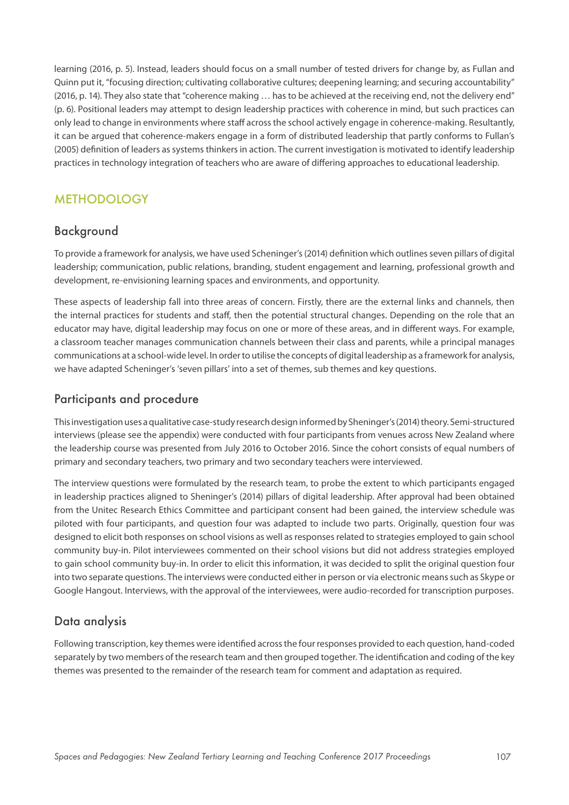learning (2016, p. 5). Instead, leaders should focus on a small number of tested drivers for change by, as Fullan and Quinn put it, "focusing direction; cultivating collaborative cultures; deepening learning; and securing accountability" (2016, p. 14). They also state that "coherence making ... has to be achieved at the receiving end, not the delivery end" (p. 6). Positional leaders may attempt to design leadership practices with coherence in mind, but such practices can only lead to change in environments where staff across the school actively engage in coherence-making. Resultantly, it can be argued that coherence-makers engage in a form of distributed leadership that partly conforms to Fullan's (2005) definition of leaders as systems thinkers in action. The current investigation is motivated to identify leadership practices in technology integration of teachers who are aware of differing approaches to educational leadership.

# METHODOLOGY

# Background

To provide a framework for analysis, we have used Scheninger's (2014) definition which outlines seven pillars of digital leadership; communication, public relations, branding, student engagement and learning, professional growth and development, re-envisioning learning spaces and environments, and opportunity.

These aspects of leadership fall into three areas of concern. Firstly, there are the external links and channels, then the internal practices for students and staff, then the potential structural changes. Depending on the role that an educator may have, digital leadership may focus on one or more of these areas, and in different ways. For example, a classroom teacher manages communication channels between their class and parents, while a principal manages communications at a school-wide level. In order to utilise the concepts of digital leadership as a framework for analysis, we have adapted Scheninger's 'seven pillars' into a set of themes, sub themes and key questions.

## Participants and procedure

This investigation uses a qualitative case-study research design informed by Sheninger's (2014) theory. Semi-structured interviews (please see the appendix) were conducted with four participants from venues across New Zealand where the leadership course was presented from July 2016 to October 2016. Since the cohort consists of equal numbers of primary and secondary teachers, two primary and two secondary teachers were interviewed.

The interview questions were formulated by the research team, to probe the extent to which participants engaged in leadership practices aligned to Sheninger's (2014) pillars of digital leadership. After approval had been obtained from the Unitec Research Ethics Committee and participant consent had been gained, the interview schedule was piloted with four participants, and question four was adapted to include two parts. Originally, question four was designed to elicit both responses on school visions as well as responses related to strategies employed to gain school community buy-in. Pilot interviewees commented on their school visions but did not address strategies employed to gain school community buy-in. In order to elicit this information, it was decided to split the original question four into two separate questions. The interviews were conducted either in person or via electronic means such as Skype or Google Hangout. Interviews, with the approval of the interviewees, were audio-recorded for transcription purposes.

# Data analysis

Following transcription, key themes were identified across the four responses provided to each question, hand-coded separately by two members of the research team and then grouped together. The identification and coding of the key themes was presented to the remainder of the research team for comment and adaptation as required.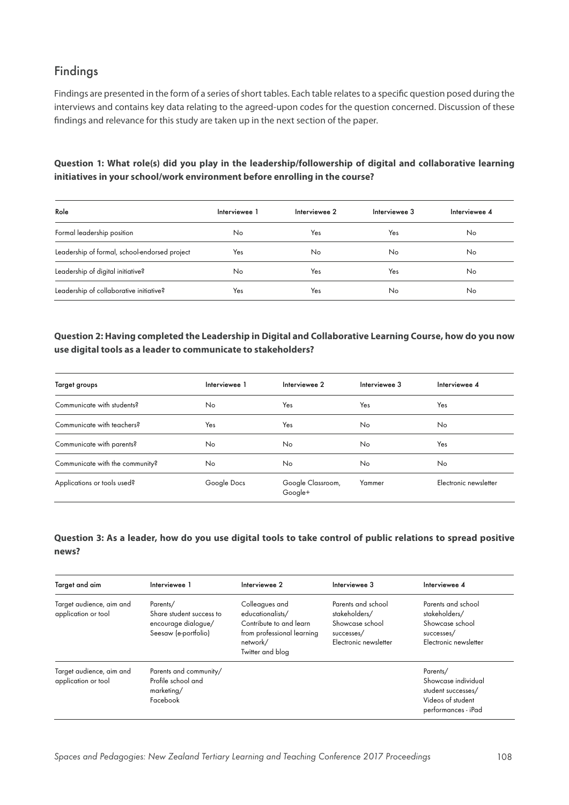# Findings

Findings are presented in the form of a series of short tables. Each table relates to a specific question posed during the interviews and contains key data relating to the agreed-upon codes for the question concerned. Discussion of these findings and relevance for this study are taken up in the next section of the paper.

## **Question 1: What role(s) did you play in the leadership/followership of digital and collaborative learning initiatives in your school/work environment before enrolling in the course?**

| Role                                          | Interviewee 1 | Interviewee 2 | Interviewee 3 | Interviewee 4 |
|-----------------------------------------------|---------------|---------------|---------------|---------------|
| Formal leadership position                    | No            | Yes           | Yes           | No            |
| Leadership of formal, school-endorsed project | Yes           | No            | No            | No            |
| Leadership of digital initiative?             | No            | Yes           | Yes           | No            |
| Leadership of collaborative initiative?       | Yes           | Yes           | No            | No            |

## **Question 2: Having completed the Leadership in Digital and Collaborative Learning Course, how do you now use digital tools as a leader to communicate to stakeholders?**

| Target groups                   | Interviewee 1 | Interviewee 2                | Interviewee 3 | Interviewee 4         |
|---------------------------------|---------------|------------------------------|---------------|-----------------------|
| Communicate with students?      | No            | Yes                          | Yes           | Yes                   |
| Communicate with teachers?      | Yes           | Yes                          | No            | <b>No</b>             |
| Communicate with parents?       | No            | No.                          | No            | Yes                   |
| Communicate with the community? | No            | No.                          | No            | <b>No</b>             |
| Applications or tools used?     | Google Docs   | Google Classroom,<br>Google+ | Yammer        | Electronic newsletter |

## **Question 3: As a leader, how do you use digital tools to take control of public relations to spread positive news?**

| Target and aim                                  | Interviewee 1                                                                       | Interviewee 2                                                                                                               | Interviewee 3                                                                                 | Interviewee 4                                                                                     |
|-------------------------------------------------|-------------------------------------------------------------------------------------|-----------------------------------------------------------------------------------------------------------------------------|-----------------------------------------------------------------------------------------------|---------------------------------------------------------------------------------------------------|
| Target audience, aim and<br>application or tool | Parents/<br>Share student success to<br>encourage dialogue/<br>Seesaw (e-portfolio) | Colleagues and<br>educationalists/<br>Contribute to and learn<br>from professional learning<br>network/<br>Twitter and blog | Parents and school<br>stakeholders/<br>Showcase school<br>successes/<br>Electronic newsletter | Parents and school<br>stakeholders/<br>Showcase school<br>successes/<br>Electronic newsletter     |
| Target audience, aim and<br>application or tool | Parents and community/<br>Profile school and<br>marketing/<br>Facebook              |                                                                                                                             |                                                                                               | Parents/<br>Showcase individual<br>student successes/<br>Videos of student<br>performances - iPad |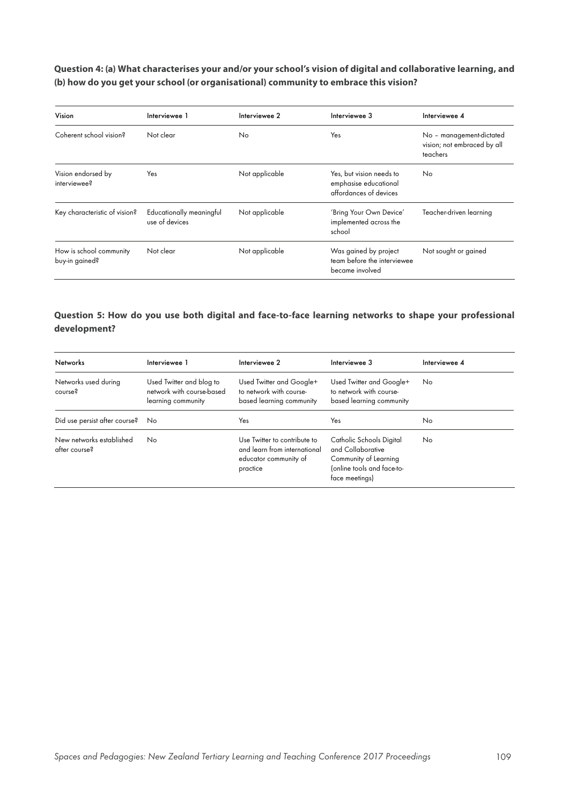## **Question 4: (a) What characterises your and/or your school's vision of digital and collaborative learning, and (b) how do you get your school (or organisational) community to embrace this vision?**

| Vision                                    | Interviewee 1                              | Interviewee 2  | Interviewee 3                                                               | Interviewee 4                                                       |
|-------------------------------------------|--------------------------------------------|----------------|-----------------------------------------------------------------------------|---------------------------------------------------------------------|
| Coherent school vision?                   | Not clear                                  | No             | Yes.                                                                        | No - management-dictated<br>vision; not embraced by all<br>teachers |
| Vision endorsed by<br>interviewee?        | Yes                                        | Not applicable | Yes, but vision needs to<br>emphasise educational<br>affordances of devices | No                                                                  |
| Key characteristic of vision?             | Educationally meaningful<br>use of devices | Not applicable | 'Bring Your Own Device'<br>implemented across the<br>school                 | Teacher-driven learning                                             |
| How is school community<br>buy-in gained? | Not clear                                  | Not applicable | Was gained by project<br>team before the interviewee<br>became involved     | Not sought or gained                                                |

## **Question 5: How do you use both digital and face-to-face learning networks to shape your professional development?**

| <b>Networks</b>                           | Interviewee 1                                                               | Interviewee 2                                                                                     | Interviewee 3                                                                                                          | Interviewee 4 |
|-------------------------------------------|-----------------------------------------------------------------------------|---------------------------------------------------------------------------------------------------|------------------------------------------------------------------------------------------------------------------------|---------------|
| Networks used during<br>course?           | Used Twitter and blog to<br>network with course-based<br>learning community | Used Twitter and Google+<br>to network with course-<br>based learning community                   | Used Twitter and Google+<br>to network with course-<br>based learning community                                        | No            |
| Did use persist after course?             | No.                                                                         | Yes                                                                                               | Yes                                                                                                                    | No            |
| New networks established<br>after course? | No.                                                                         | Use Twitter to contribute to<br>and learn from international<br>educator community of<br>practice | Catholic Schools Digital<br>and Collaborative<br>Community of Learning<br>(online tools and face-to-<br>face meetings) | No            |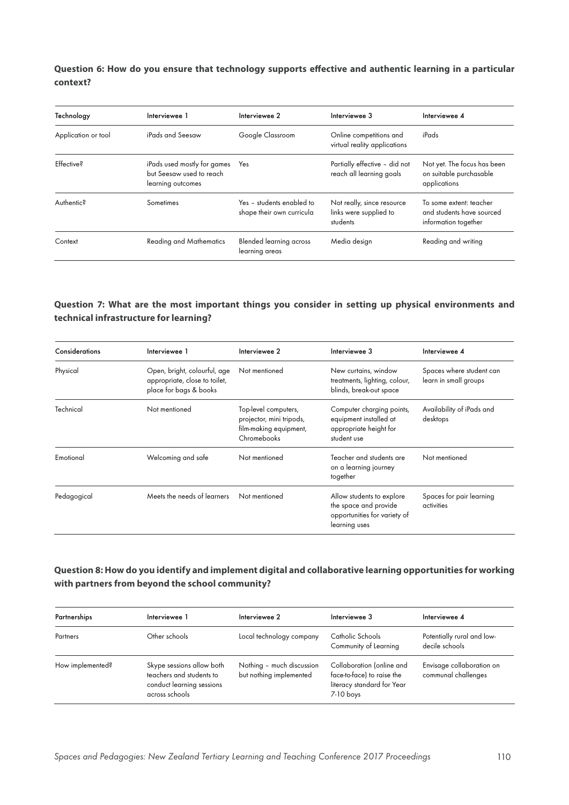**Question 6: How do you ensure that technology supports effective and authentic learning in a particular context?** 

| Technology          | Interviewee 1                                                                | Interviewee 2                                          | Interviewee 3                                                    | Interviewee 4                                                                |
|---------------------|------------------------------------------------------------------------------|--------------------------------------------------------|------------------------------------------------------------------|------------------------------------------------------------------------------|
| Application or tool | iPads and Seesaw                                                             | Google Classroom                                       | Online competitions and<br>virtual reality applications          | iPads                                                                        |
| <b>Effective?</b>   | iPads used mostly for games<br>but Seesaw used to reach<br>learning outcomes | Yes                                                    | Partially effective - did not<br>reach all learning goals        | Not yet. The focus has been<br>on suitable purchasable<br>applications       |
| Authentic?          | Sometimes                                                                    | Yes - students enabled to<br>shape their own curricula | Not really, since resource<br>links were supplied to<br>students | To some extent: teacher<br>and students have sourced<br>information together |
| Context             | <b>Reading and Mathematics</b>                                               | <b>Blended learning across</b><br>learning areas       | Media design                                                     | Reading and writing                                                          |

## **Question 7: What are the most important things you consider in setting up physical environments and technical infrastructure for learning?**

| Considerations | Interviewee 1                                                                           | Interviewee 2                                                                             | Interviewee 3                                                                                       | Interviewee 4                                     |
|----------------|-----------------------------------------------------------------------------------------|-------------------------------------------------------------------------------------------|-----------------------------------------------------------------------------------------------------|---------------------------------------------------|
| Physical       | Open, bright, colourful, age<br>appropriate, close to toilet,<br>place for bags & books | Not mentioned                                                                             | New curtains, window<br>treatments, lighting, colour,<br>blinds, break-out space                    | Spaces where student can<br>learn in small groups |
| Technical      | Not mentioned                                                                           | Top-level computers,<br>projector, mini tripods,<br>film-making equipment,<br>Chromebooks | Computer charging points,<br>equipment installed at<br>appropriate height for<br>student use        | Availability of iPads and<br>desktops             |
| Emotional      | Welcoming and safe                                                                      | Not mentioned                                                                             | Teacher and students are<br>on a learning journey<br>together                                       | Not mentioned                                     |
| Pedagogical    | Meets the needs of learners                                                             | Not mentioned                                                                             | Allow students to explore<br>the space and provide<br>opportunities for variety of<br>learning uses | Spaces for pair learning<br>activities            |

## **Question 8: How do you identify and implement digital and collaborative learning opportunities for working with partners from beyond the school community?**

| Partnerships     | Interviewee 1                                                                                        | Interviewee 2                                        | Interviewee 3                                                                                        | Interviewee 4                                    |
|------------------|------------------------------------------------------------------------------------------------------|------------------------------------------------------|------------------------------------------------------------------------------------------------------|--------------------------------------------------|
| Partners         | Other schools                                                                                        | Local technology company                             | Catholic Schools<br>Community of Learning                                                            | Potentially rural and low-<br>decile schools     |
| How implemented? | Skype sessions allow both<br>teachers and students to<br>conduct learning sessions<br>across schools | Nothing - much discussion<br>but nothing implemented | Collaboration (online and<br>face-to-face) to raise the<br>literacy standard for Year<br>$7-10$ boys | Envisage collaboration on<br>communal challenges |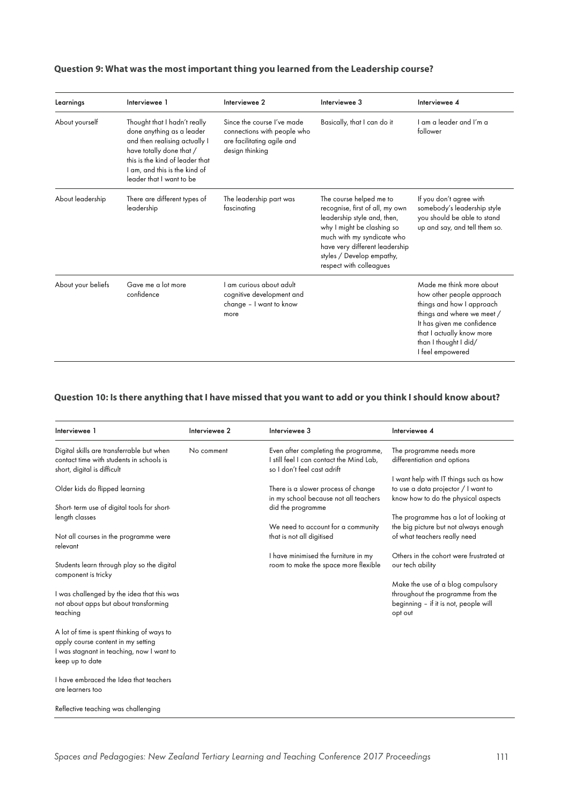## **Question 9: What was the most important thing you learned from the Leadership course?**

| Learnings          | Interviewee 1                                                                                                                                                                                                          | Interviewee 2                                                                                              | Interviewee 3                                                                                                                                                                                                                                   | Interviewee 4                                                                                                                                                                                                            |
|--------------------|------------------------------------------------------------------------------------------------------------------------------------------------------------------------------------------------------------------------|------------------------------------------------------------------------------------------------------------|-------------------------------------------------------------------------------------------------------------------------------------------------------------------------------------------------------------------------------------------------|--------------------------------------------------------------------------------------------------------------------------------------------------------------------------------------------------------------------------|
| About yourself     | Thought that I hadn't really<br>done anything as a leader<br>and then realising actually I<br>have totally done that /<br>this is the kind of leader that<br>I am, and this is the kind of<br>leader that I want to be | Since the course I've made<br>connections with people who<br>are facilitating agile and<br>design thinking | Basically, that I can do it                                                                                                                                                                                                                     | I am a leader and I'm a<br>follower                                                                                                                                                                                      |
| About leadership   | There are different types of<br>leadership                                                                                                                                                                             | The leadership part was<br>fascinating                                                                     | The course helped me to<br>recognise, first of all, my own<br>leadership style and, then,<br>why I might be clashing so<br>much with my syndicate who<br>have very different leadership<br>styles / Develop empathy,<br>respect with colleagues | If you don't agree with<br>somebody's leadership style<br>you should be able to stand<br>up and say, and tell them so.                                                                                                   |
| About your beliefs | Gave me a lot more<br>confidence                                                                                                                                                                                       | I am curious about adult<br>cognitive development and<br>change - I want to know<br>more                   |                                                                                                                                                                                                                                                 | Made me think more about<br>how other people approach<br>things and how I approach<br>things and where we meet /<br>It has given me confidence<br>that I actually know more<br>than I thought I did/<br>I feel empowered |

#### **Question 10: Is there anything that I have missed that you want to add or you think I should know about?**

| Interviewee 1                                                                                                                                    | Interviewee 2 | Interviewee 3                                                                                                   | Interviewee 4                                                                                                              |
|--------------------------------------------------------------------------------------------------------------------------------------------------|---------------|-----------------------------------------------------------------------------------------------------------------|----------------------------------------------------------------------------------------------------------------------------|
| Digital skills are transferrable but when<br>contact time with students in schools is<br>short, digital is difficult                             | No comment    | Even after completing the programme,<br>I still feel I can contact the Mind Lab,<br>so I don't feel cast adrift | The programme needs more<br>differentiation and options                                                                    |
| Older kids do flipped learning<br>Short-term use of digital tools for short-                                                                     |               | There is a slower process of change<br>in my school because not all teachers<br>did the programme               | I want help with IT things such as how<br>to use a data projector / I want to<br>know how to do the physical aspects       |
| length classes                                                                                                                                   |               |                                                                                                                 | The programme has a lot of looking at                                                                                      |
| Not all courses in the programme were<br>relevant                                                                                                |               | We need to account for a community<br>that is not all digitised                                                 | the big picture but not always enough<br>of what teachers really need                                                      |
| Students learn through play so the digital<br>component is tricky                                                                                |               | I have minimised the furniture in my<br>room to make the space more flexible                                    | Others in the cohort were frustrated at<br>our tech ability                                                                |
| I was challenged by the idea that this was<br>not about apps but about transforming<br>teaching                                                  |               |                                                                                                                 | Make the use of a blog compulsory<br>throughout the programme from the<br>beginning - if it is not, people will<br>opt out |
| A lot of time is spent thinking of ways to<br>apply course content in my setting<br>I was stagnant in teaching, now I want to<br>keep up to date |               |                                                                                                                 |                                                                                                                            |
| I have embraced the Idea that teachers<br>are learners too                                                                                       |               |                                                                                                                 |                                                                                                                            |
| Reflective teaching was challenging                                                                                                              |               |                                                                                                                 |                                                                                                                            |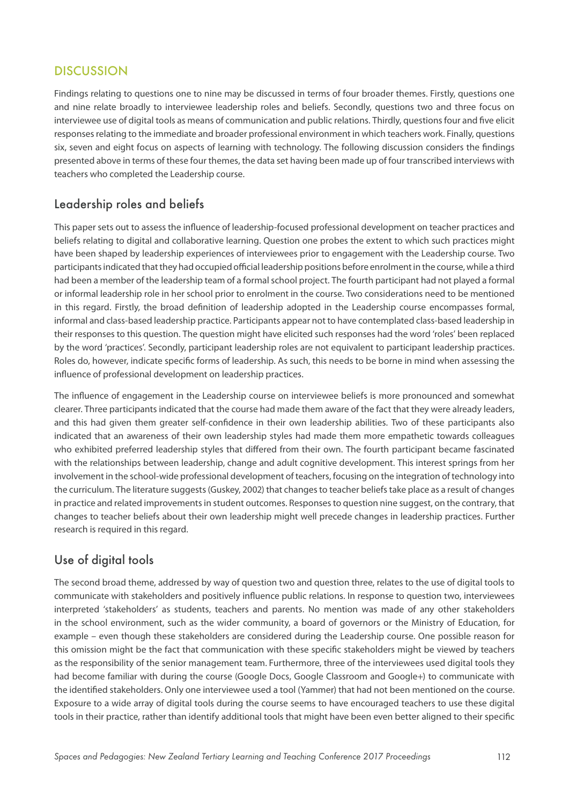# **DISCUSSION**

Findings relating to questions one to nine may be discussed in terms of four broader themes. Firstly, questions one and nine relate broadly to interviewee leadership roles and beliefs. Secondly, questions two and three focus on interviewee use of digital tools as means of communication and public relations. Thirdly, questions four and five elicit responses relating to the immediate and broader professional environment in which teachers work. Finally, questions six, seven and eight focus on aspects of learning with technology. The following discussion considers the findings presented above in terms of these four themes, the data set having been made up of four transcribed interviews with teachers who completed the Leadership course.

# Leadership roles and beliefs

This paper sets out to assess the influence of leadership-focused professional development on teacher practices and beliefs relating to digital and collaborative learning. Question one probes the extent to which such practices might have been shaped by leadership experiences of interviewees prior to engagement with the Leadership course. Two participants indicated that they had occupied official leadership positions before enrolment in the course, while a third had been a member of the leadership team of a formal school project. The fourth participant had not played a formal or informal leadership role in her school prior to enrolment in the course. Two considerations need to be mentioned in this regard. Firstly, the broad definition of leadership adopted in the Leadership course encompasses formal, informal and class-based leadership practice. Participants appear not to have contemplated class-based leadership in their responses to this question. The question might have elicited such responses had the word 'roles' been replaced by the word 'practices'. Secondly, participant leadership roles are not equivalent to participant leadership practices. Roles do, however, indicate specific forms of leadership. As such, this needs to be borne in mind when assessing the influence of professional development on leadership practices.

The influence of engagement in the Leadership course on interviewee beliefs is more pronounced and somewhat clearer. Three participants indicated that the course had made them aware of the fact that they were already leaders, and this had given them greater self-confidence in their own leadership abilities. Two of these participants also indicated that an awareness of their own leadership styles had made them more empathetic towards colleagues who exhibited preferred leadership styles that differed from their own. The fourth participant became fascinated with the relationships between leadership, change and adult cognitive development. This interest springs from her involvement in the school-wide professional development of teachers, focusing on the integration of technology into the curriculum. The literature suggests (Guskey, 2002) that changes to teacher beliefs take place as a result of changes in practice and related improvements in student outcomes. Responses to question nine suggest, on the contrary, that changes to teacher beliefs about their own leadership might well precede changes in leadership practices. Further research is required in this regard.

# Use of digital tools

The second broad theme, addressed by way of question two and question three, relates to the use of digital tools to communicate with stakeholders and positively influence public relations. In response to question two, interviewees interpreted 'stakeholders' as students, teachers and parents. No mention was made of any other stakeholders in the school environment, such as the wider community, a board of governors or the Ministry of Education, for example – even though these stakeholders are considered during the Leadership course. One possible reason for this omission might be the fact that communication with these specific stakeholders might be viewed by teachers as the responsibility of the senior management team. Furthermore, three of the interviewees used digital tools they had become familiar with during the course (Google Docs, Google Classroom and Google+) to communicate with the identified stakeholders. Only one interviewee used a tool (Yammer) that had not been mentioned on the course. Exposure to a wide array of digital tools during the course seems to have encouraged teachers to use these digital tools in their practice, rather than identify additional tools that might have been even better aligned to their specific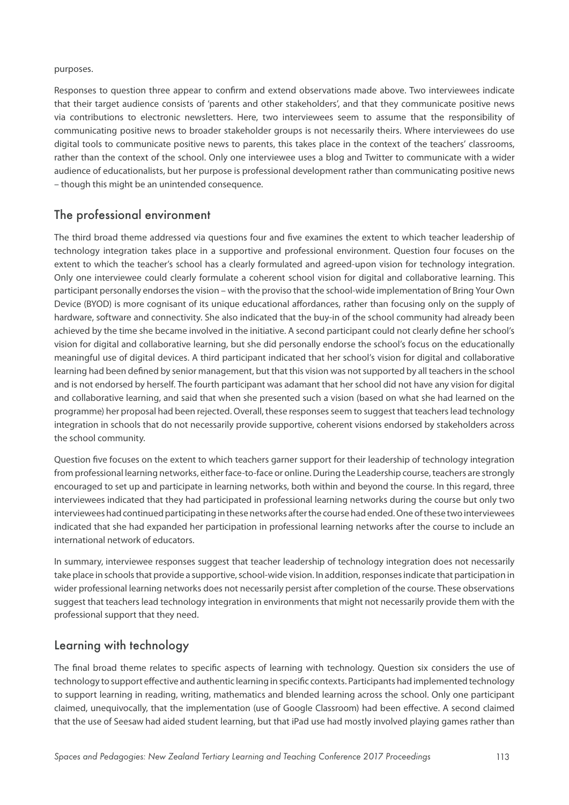#### purposes.

Responses to question three appear to confirm and extend observations made above. Two interviewees indicate that their target audience consists of 'parents and other stakeholders', and that they communicate positive news via contributions to electronic newsletters. Here, two interviewees seem to assume that the responsibility of communicating positive news to broader stakeholder groups is not necessarily theirs. Where interviewees do use digital tools to communicate positive news to parents, this takes place in the context of the teachers' classrooms, rather than the context of the school. Only one interviewee uses a blog and Twitter to communicate with a wider audience of educationalists, but her purpose is professional development rather than communicating positive news – though this might be an unintended consequence.

## The professional environment

The third broad theme addressed via questions four and five examines the extent to which teacher leadership of technology integration takes place in a supportive and professional environment. Question four focuses on the extent to which the teacher's school has a clearly formulated and agreed-upon vision for technology integration. Only one interviewee could clearly formulate a coherent school vision for digital and collaborative learning. This participant personally endorses the vision – with the proviso that the school-wide implementation of Bring Your Own Device (BYOD) is more cognisant of its unique educational affordances, rather than focusing only on the supply of hardware, software and connectivity. She also indicated that the buy-in of the school community had already been achieved by the time she became involved in the initiative. A second participant could not clearly define her school's vision for digital and collaborative learning, but she did personally endorse the school's focus on the educationally meaningful use of digital devices. A third participant indicated that her school's vision for digital and collaborative learning had been defined by senior management, but that this vision was not supported by all teachers in the school and is not endorsed by herself. The fourth participant was adamant that her school did not have any vision for digital and collaborative learning, and said that when she presented such a vision (based on what she had learned on the programme) her proposal had been rejected. Overall, these responses seem to suggest that teachers lead technology integration in schools that do not necessarily provide supportive, coherent visions endorsed by stakeholders across the school community.

Question five focuses on the extent to which teachers garner support for their leadership of technology integration from professional learning networks, either face-to-face or online. During the Leadership course, teachers are strongly encouraged to set up and participate in learning networks, both within and beyond the course. In this regard, three interviewees indicated that they had participated in professional learning networks during the course but only two interviewees had continued participating in these networks after the course had ended. One of these two interviewees indicated that she had expanded her participation in professional learning networks after the course to include an international network of educators.

In summary, interviewee responses suggest that teacher leadership of technology integration does not necessarily take place in schools that provide a supportive, school-wide vision. In addition, responses indicate that participation in wider professional learning networks does not necessarily persist after completion of the course. These observations suggest that teachers lead technology integration in environments that might not necessarily provide them with the professional support that they need.

## Learning with technology

The final broad theme relates to specific aspects of learning with technology. Question six considers the use of technology to support effective and authentic learning in specific contexts. Participants had implemented technology to support learning in reading, writing, mathematics and blended learning across the school. Only one participant claimed, unequivocally, that the implementation (use of Google Classroom) had been effective. A second claimed that the use of Seesaw had aided student learning, but that iPad use had mostly involved playing games rather than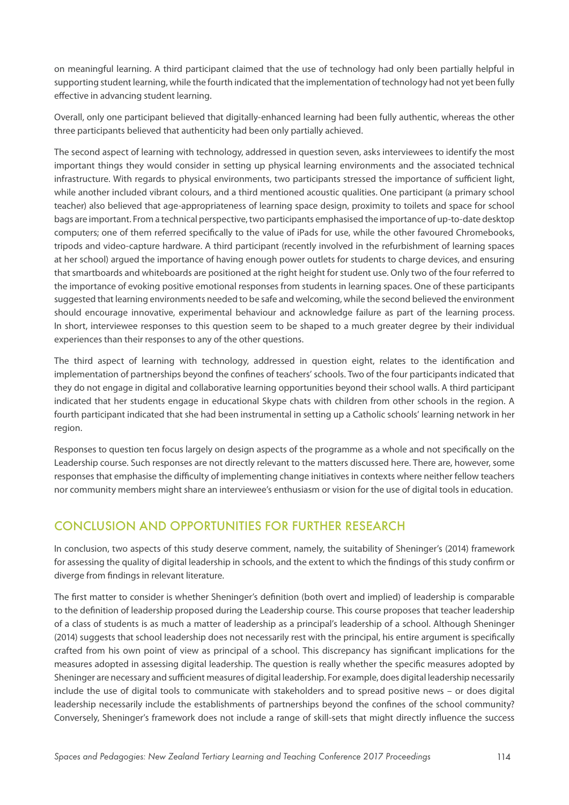on meaningful learning. A third participant claimed that the use of technology had only been partially helpful in supporting student learning, while the fourth indicated that the implementation of technology had not yet been fully effective in advancing student learning.

Overall, only one participant believed that digitally-enhanced learning had been fully authentic, whereas the other three participants believed that authenticity had been only partially achieved.

The second aspect of learning with technology, addressed in question seven, asks interviewees to identify the most important things they would consider in setting up physical learning environments and the associated technical infrastructure. With regards to physical environments, two participants stressed the importance of sufficient light, while another included vibrant colours, and a third mentioned acoustic qualities. One participant (a primary school teacher) also believed that age-appropriateness of learning space design, proximity to toilets and space for school bags are important. From a technical perspective, two participants emphasised the importance of up-to-date desktop computers; one of them referred specifically to the value of iPads for use, while the other favoured Chromebooks, tripods and video-capture hardware. A third participant (recently involved in the refurbishment of learning spaces at her school) argued the importance of having enough power outlets for students to charge devices, and ensuring that smartboards and whiteboards are positioned at the right height for student use. Only two of the four referred to the importance of evoking positive emotional responses from students in learning spaces. One of these participants suggested that learning environments needed to be safe and welcoming, while the second believed the environment should encourage innovative, experimental behaviour and acknowledge failure as part of the learning process. In short, interviewee responses to this question seem to be shaped to a much greater degree by their individual experiences than their responses to any of the other questions.

The third aspect of learning with technology, addressed in question eight, relates to the identification and implementation of partnerships beyond the confines of teachers' schools. Two of the four participants indicated that they do not engage in digital and collaborative learning opportunities beyond their school walls. A third participant indicated that her students engage in educational Skype chats with children from other schools in the region. A fourth participant indicated that she had been instrumental in setting up a Catholic schools' learning network in her region.

Responses to question ten focus largely on design aspects of the programme as a whole and not specifically on the Leadership course. Such responses are not directly relevant to the matters discussed here. There are, however, some responses that emphasise the difficulty of implementing change initiatives in contexts where neither fellow teachers nor community members might share an interviewee's enthusiasm or vision for the use of digital tools in education.

# CONCLUSION AND OPPORTUNITIES FOR FURTHER RESEARCH

In conclusion, two aspects of this study deserve comment, namely, the suitability of Sheninger's (2014) framework for assessing the quality of digital leadership in schools, and the extent to which the findings of this study confirm or diverge from findings in relevant literature.

The first matter to consider is whether Sheninger's definition (both overt and implied) of leadership is comparable to the definition of leadership proposed during the Leadership course. This course proposes that teacher leadership of a class of students is as much a matter of leadership as a principal's leadership of a school. Although Sheninger (2014) suggests that school leadership does not necessarily rest with the principal, his entire argument is specifically crafted from his own point of view as principal of a school. This discrepancy has significant implications for the measures adopted in assessing digital leadership. The question is really whether the specific measures adopted by Sheninger are necessary and sufficient measures of digital leadership. For example, does digital leadership necessarily include the use of digital tools to communicate with stakeholders and to spread positive news – or does digital leadership necessarily include the establishments of partnerships beyond the confines of the school community? Conversely, Sheninger's framework does not include a range of skill-sets that might directly influence the success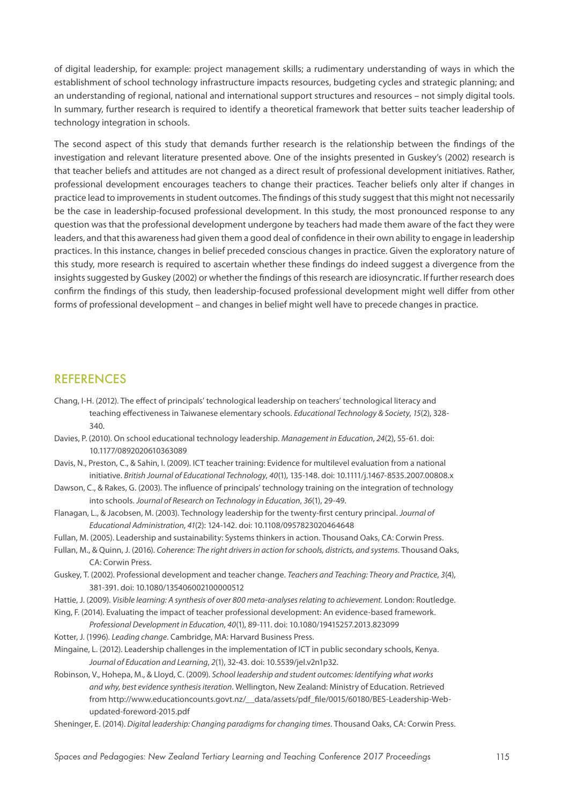of digital leadership, for example: project management skills; a rudimentary understanding of ways in which the establishment of school technology infrastructure impacts resources, budgeting cycles and strategic planning; and an understanding of regional, national and international support structures and resources – not simply digital tools. In summary, further research is required to identify a theoretical framework that better suits teacher leadership of technology integration in schools.

The second aspect of this study that demands further research is the relationship between the findings of the investigation and relevant literature presented above. One of the insights presented in Guskey's (2002) research is that teacher beliefs and attitudes are not changed as a direct result of professional development initiatives. Rather, professional development encourages teachers to change their practices. Teacher beliefs only alter if changes in practice lead to improvements in student outcomes. The findings of this study suggest that this might not necessarily be the case in leadership-focused professional development. In this study, the most pronounced response to any question was that the professional development undergone by teachers had made them aware of the fact they were leaders, and that this awareness had given them a good deal of confidence in their own ability to engage in leadership practices. In this instance, changes in belief preceded conscious changes in practice. Given the exploratory nature of this study, more research is required to ascertain whether these findings do indeed suggest a divergence from the insights suggested by Guskey (2002) or whether the findings of this research are idiosyncratic. If further research does confirm the findings of this study, then leadership-focused professional development might well differ from other forms of professional development – and changes in belief might well have to precede changes in practice.

## REFERENCES

- Chang, I-H. (2012). The effect of principals' technological leadership on teachers' technological literacy and teaching effectiveness in Taiwanese elementary schools. *Educational Technology & Society*, *15*(2), 328- 340.
- Davies, P. (2010). On school educational technology leadership. *Management in Education*, *24*(2), 55-61. doi: 10.1177/0892020610363089
- Davis, N., Preston, C., & Sahin, I. (2009). ICT teacher training: Evidence for multilevel evaluation from a national initiative. *British Journal of Educational Technology*, *40*(1), 135-148. doi: 10.1111/j.1467-8535.2007.00808.x
- Dawson, C., & Rakes, G. (2003). The influence of principals' technology training on the integration of technology into schools. *Journal of Research on Technology in Education*, *36*(1), 29-49.
- Flanagan, L., & Jacobsen, M. (2003). Technology leadership for the twenty-first century principal. *Journal of Educational Administration*, *41*(2): 124-142. doi: 10.1108/0957823020464648
- Fullan, M. (2005). Leadership and sustainability: Systems thinkers in action. Thousand Oaks, CA: Corwin Press.
- Fullan, M., & Quinn, J. (2016). *Coherence: The right drivers in action for schools, districts, and systems*. Thousand Oaks, CA: Corwin Press.
- Guskey, T. (2002). Professional development and teacher change. *Teachers and Teaching: Theory and Practice*, *3*(4), 381-391. doi: 10.1080/135406002100000512
- Hattie, J. (2009). *Visible learning: A synthesis of over 800 meta-analyses relating to achievement.* London: Routledge.
- King, F. (2014). Evaluating the impact of teacher professional development: An evidence-based framework. *Professional Development in Education*, *40*(1), 89-111. doi: 10.1080/19415257.2013.823099
- Kotter, J. (1996). *Leading change*. Cambridge, MA: Harvard Business Press.
- Mingaine, L. (2012). Leadership challenges in the implementation of ICT in public secondary schools, Kenya. *Journal of Education and Learning*, *2*(1), 32-43. doi: 10.5539/jel.v2n1p32.
- Robinson, V., Hohepa, M., & Lloyd, C. (2009). *School leadership and student outcomes: Identifying what works and why, best evidence synthesis iteration*. Wellington, New Zealand: Ministry of Education. Retrieved from http://www.educationcounts.govt.nz/\_\_data/assets/pdf\_file/0015/60180/BES-Leadership-Webupdated-foreword-2015.pdf
- Sheninger, E. (2014). *Digital leadership: Changing paradigms for changing times*. Thousand Oaks, CA: Corwin Press.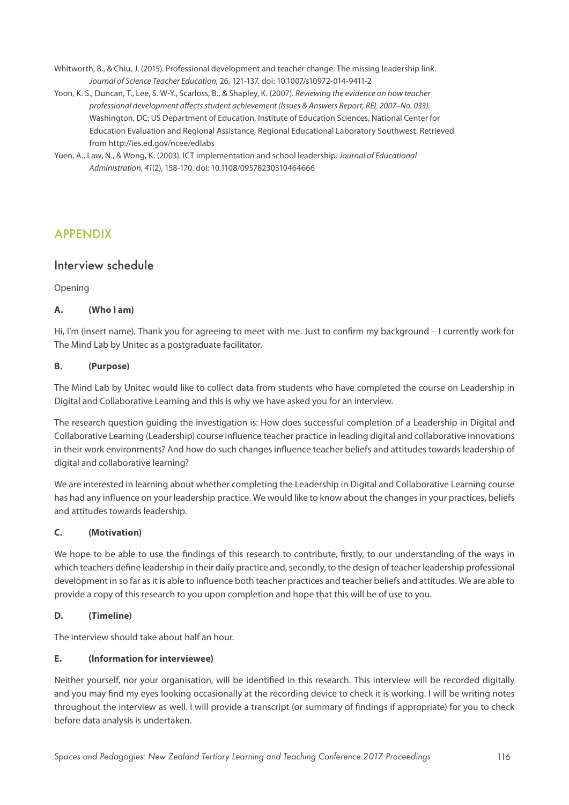- Whitworth, B., & Chiu, J. (2015). Professional development and teacher change: The missing leadership link. *Journal of Science Teacher Education*, 26, 121-137. doi: 10.1007/s10972-014-9411-2
- Yoon, K. S., Duncan, T., Lee, S. W-Y., Scarloss, B., & Shapley, K. (2007). *Reviewing the evidence on how teacher professional development affects student achievement (Issues & Answers Report, REL 2007–No. 033)*. Washington, DC: US Department of Education, Institute of Education Sciences, National Center for Education Evaluation and Regional Assistance, Regional Educational Laboratory Southwest. Retrieved from http://ies.ed.gov/ncee/edlabs
- Yuen, A., Law, N., & Wong, K. (2003). ICT implementation and school leadership. *Journal of Educational Administration*, *41*(2), 158-170. doi: 10.1108/09578230310464666

# APPENDIX

## Interview schedule

Opening

## **A. (Who I am)**

Hi, I'm (insert name). Thank you for agreeing to meet with me. Just to confirm my background – I currently work for The Mind Lab by Unitec as a postgraduate facilitator.

## **B. (Purpose)**

The Mind Lab by Unitec would like to collect data from students who have completed the course on Leadership in Digital and Collaborative Learning and this is why we have asked you for an interview.

The research question guiding the investigation is: How does successful completion of a Leadership in Digital and Collaborative Learning (Leadership) course influence teacher practice in leading digital and collaborative innovations in their work environments? And how do such changes influence teacher beliefs and attitudes towards leadership of digital and collaborative learning?

We are interested in learning about whether completing the Leadership in Digital and Collaborative Learning course has had any influence on your leadership practice. We would like to know about the changes in your practices, beliefs and attitudes towards leadership.

## **C. (Motivation)**

We hope to be able to use the findings of this research to contribute, firstly, to our understanding of the ways in which teachers define leadership in their daily practice and, secondly, to the design of teacher leadership professional development in so far as it is able to influence both teacher practices and teacher beliefs and attitudes. We are able to provide a copy of this research to you upon completion and hope that this will be of use to you.

## **D. (Timeline)**

The interview should take about half an hour.

## **E. (Information for interviewee)**

Neither yourself, nor your organisation, will be identified in this research. This interview will be recorded digitally and you may find my eyes looking occasionally at the recording device to check it is working. I will be writing notes throughout the interview as well. I will provide a transcript (or summary of findings if appropriate) for you to check before data analysis is undertaken.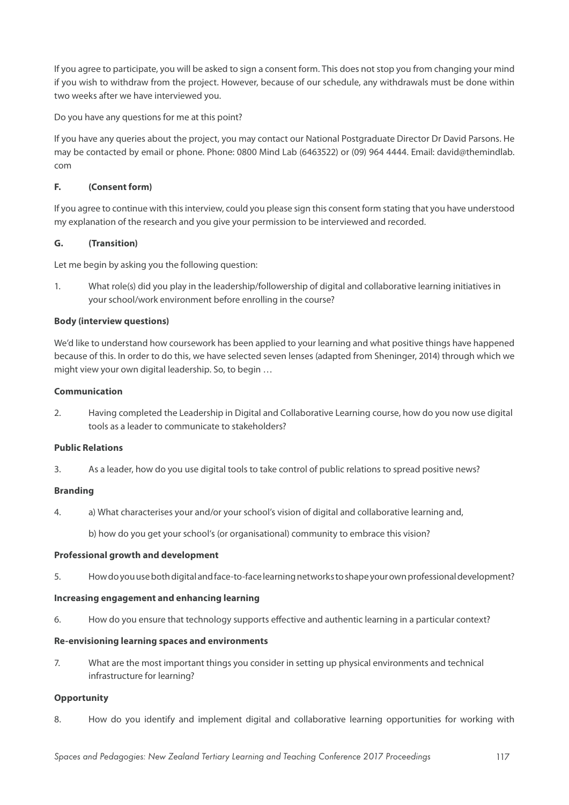If you agree to participate, you will be asked to sign a consent form. This does not stop you from changing your mind if you wish to withdraw from the project. However, because of our schedule, any withdrawals must be done within two weeks after we have interviewed you.

Do you have any questions for me at this point?

If you have any queries about the project, you may contact our National Postgraduate Director Dr David Parsons. He may be contacted by email or phone. Phone: 0800 Mind Lab (6463522) or (09) 964 4444. Email: david@themindlab. com

#### **F. (Consent form)**

If you agree to continue with this interview, could you please sign this consent form stating that you have understood my explanation of the research and you give your permission to be interviewed and recorded.

## **G. (Transition)**

Let me begin by asking you the following question:

1. What role(s) did you play in the leadership/followership of digital and collaborative learning initiatives in your school/work environment before enrolling in the course?

## **Body (interview questions)**

We'd like to understand how coursework has been applied to your learning and what positive things have happened because of this. In order to do this, we have selected seven lenses (adapted from Sheninger, 2014) through which we might view your own digital leadership. So, to begin …

#### **Communication**

2. Having completed the Leadership in Digital and Collaborative Learning course, how do you now use digital tools as a leader to communicate to stakeholders?

## **Public Relations**

3. As a leader, how do you use digital tools to take control of public relations to spread positive news?

#### **Branding**

4. a) What characterises your and/or your school's vision of digital and collaborative learning and,

b) how do you get your school's (or organisational) community to embrace this vision?

#### **Professional growth and development**

5. How do you use both digital and face-to-face learning networks to shape your own professional development?

#### **Increasing engagement and enhancing learning**

6. How do you ensure that technology supports effective and authentic learning in a particular context?

#### **Re-envisioning learning spaces and environments**

7. What are the most important things you consider in setting up physical environments and technical infrastructure for learning?

#### **Opportunity**

8. How do you identify and implement digital and collaborative learning opportunities for working with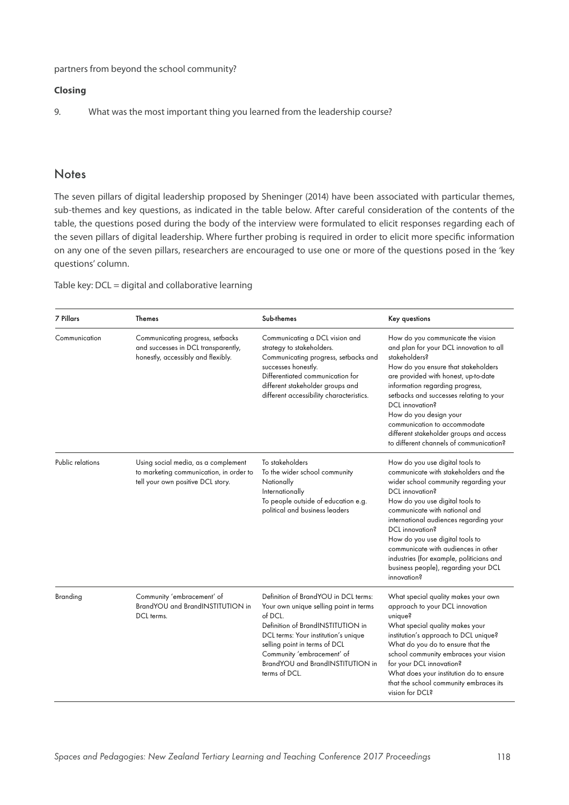partners from beyond the school community?

#### **Closing**

9. What was the most important thing you learned from the leadership course?

## **Notes**

The seven pillars of digital leadership proposed by Sheninger (2014) have been associated with particular themes, sub-themes and key questions, as indicated in the table below. After careful consideration of the contents of the table, the questions posed during the body of the interview were formulated to elicit responses regarding each of the seven pillars of digital leadership. Where further probing is required in order to elicit more specific information on any one of the seven pillars, researchers are encouraged to use one or more of the questions posed in the 'key questions' column.

Table key: DCL = digital and collaborative learning

| <b>7 Pillars</b> | <b>Themes</b>                                                                                                       | Sub-themes                                                                                                                                                                                                                                                                                 | Key questions                                                                                                                                                                                                                                                                                                                                                                                                                                      |
|------------------|---------------------------------------------------------------------------------------------------------------------|--------------------------------------------------------------------------------------------------------------------------------------------------------------------------------------------------------------------------------------------------------------------------------------------|----------------------------------------------------------------------------------------------------------------------------------------------------------------------------------------------------------------------------------------------------------------------------------------------------------------------------------------------------------------------------------------------------------------------------------------------------|
| Communication    | Communicating progress, setbacks<br>and successes in DCL transparently,<br>honestly, accessibly and flexibly.       | Communicating a DCL vision and<br>strategy to stakeholders.<br>Communicating progress, setbacks and<br>successes honestly.<br>Differentiated communication for<br>different stakeholder groups and<br>different accessibility characteristics.                                             | How do you communicate the vision<br>and plan for your DCL innovation to all<br>stakeholders?<br>How do you ensure that stakeholders<br>are provided with honest, up-to-date<br>information regarding progress,<br>setbacks and successes relating to your<br>DCL innovation?<br>How do you design your<br>communication to accommodate<br>different stakeholder groups and access<br>to different channels of communication?                      |
| Public relations | Using social media, as a complement<br>to marketing communication, in order to<br>tell your own positive DCL story. | To stakeholders<br>To the wider school community<br>Nationally<br>Internationally<br>To people outside of education e.g.<br>political and business leaders                                                                                                                                 | How do you use digital tools to<br>communicate with stakeholders and the<br>wider school community regarding your<br>DCL innovation?<br>How do you use digital tools to<br>communicate with national and<br>international audiences regarding your<br>DCL innovation?<br>How do you use digital tools to<br>communicate with audiences in other<br>industries (for example, politicians and<br>business people), regarding your DCL<br>innovation? |
| Branding         | Community 'embracement' of<br>BrandYOU and BrandINSTITUTION in<br>DCL terms.                                        | Definition of BrandYOU in DCL terms:<br>Your own unique selling point in terms<br>of DCL.<br>Definition of BrandINSTITUTION in<br>DCL terms: Your institution's unique<br>selling point in terms of DCL<br>Community 'embracement' of<br>BrandYOU and BrandINSTITUTION in<br>terms of DCL. | What special quality makes your own<br>approach to your DCL innovation<br>unique?<br>What special quality makes your<br>institution's approach to DCL unique?<br>What do you do to ensure that the<br>school community embraces your vision<br>for your DCL innovation?<br>What does your institution do to ensure<br>that the school community embraces its<br>vision for DCL?                                                                    |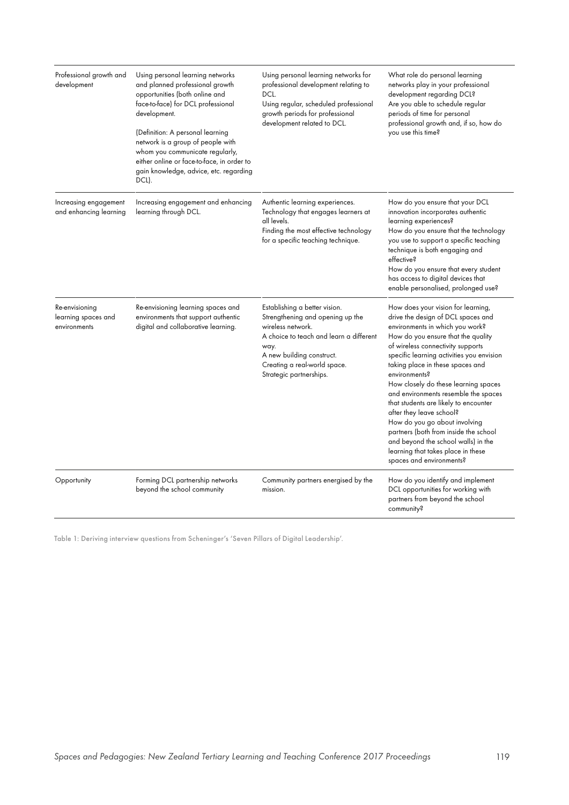| Professional growth and<br>development                | Using personal learning networks<br>and planned professional growth<br>opportunities (both online and<br>face-to-face) for DCL professional<br>development.<br>(Definition: A personal learning<br>network is a group of people with<br>whom you communicate regularly,<br>either online or face-to-face, in order to<br>gain knowledge, advice, etc. regarding<br>DCL). | Using personal learning networks for<br>professional development relating to<br>DCL.<br>Using regular, scheduled professional<br>growth periods for professional<br>development related to DCL.                                   | What role do personal learning<br>networks play in your professional<br>development regarding DCL?<br>Are you able to schedule regular<br>periods of time for personal<br>professional growth and, if so, how do<br>you use this time?                                                                                                                                                                                                                                                                                                                                                                                           |
|-------------------------------------------------------|--------------------------------------------------------------------------------------------------------------------------------------------------------------------------------------------------------------------------------------------------------------------------------------------------------------------------------------------------------------------------|-----------------------------------------------------------------------------------------------------------------------------------------------------------------------------------------------------------------------------------|----------------------------------------------------------------------------------------------------------------------------------------------------------------------------------------------------------------------------------------------------------------------------------------------------------------------------------------------------------------------------------------------------------------------------------------------------------------------------------------------------------------------------------------------------------------------------------------------------------------------------------|
| Increasing engagement<br>and enhancing learning       | Increasing engagement and enhancing<br>learning through DCL.                                                                                                                                                                                                                                                                                                             | Authentic learning experiences.<br>Technology that engages learners at<br>all levels.<br>Finding the most effective technology<br>for a specific teaching technique.                                                              | How do you ensure that your DCL<br>innovation incorporates authentic<br>learning experiences?<br>How do you ensure that the technology<br>you use to support a specific teaching<br>technique is both engaging and<br>effective?<br>How do you ensure that every student<br>has access to digital devices that<br>enable personalised, prolonged use?                                                                                                                                                                                                                                                                            |
| Re-envisioning<br>learning spaces and<br>environments | Re-envisioning learning spaces and<br>environments that support authentic<br>digital and collaborative learning.                                                                                                                                                                                                                                                         | Establishing a better vision.<br>Strengthening and opening up the<br>wireless network.<br>A choice to teach and learn a different<br>way.<br>A new building construct.<br>Creating a real-world space.<br>Strategic partnerships. | How does your vision for learning,<br>drive the design of DCL spaces and<br>environments in which you work?<br>How do you ensure that the quality<br>of wireless connectivity supports<br>specific learning activities you envision<br>taking place in these spaces and<br>environments?<br>How closely do these learning spaces<br>and environments resemble the spaces<br>that students are likely to encounter<br>after they leave school?<br>How do you go about involving<br>partners (both from inside the school<br>and beyond the school walls) in the<br>learning that takes place in these<br>spaces and environments? |
| Opportunity                                           | Forming DCL partnership networks<br>beyond the school community                                                                                                                                                                                                                                                                                                          | Community partners energised by the<br>mission.                                                                                                                                                                                   | How do you identify and implement<br>DCL opportunities for working with<br>partners from beyond the school<br>community?                                                                                                                                                                                                                                                                                                                                                                                                                                                                                                         |

Table 1: Deriving interview questions from Scheninger's 'Seven Pillars of Digital Leadership'.